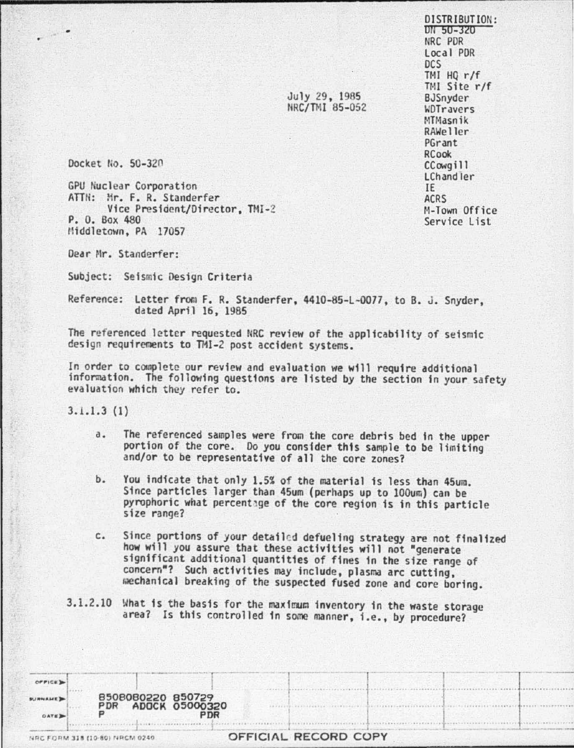DISTRIBUTION: on su-320 NRC POR Loca I POR DCS  $TMI$  HQ r/f TMI Site r/f BJSnyder WOTravers MTMasnik RAWeller PGrant RCook CCowgill LChandler IE ACRS M-Town Office Service list

July 29 , 1965 NRC/TMI 85-052

Docket flo. 50-32n

GPU Nuclear Corporation ATTN: Mr. F. R. Standerfer Vice President/Director, TMI-2 P. 0. Box 480 Middletown, PA 17057

Dear Mr. Standerfer:

Subject: Seismic Oesign Criteria

Reference: Letter from F. R. Standerfer, 4410-85-L-0077, to B. J. Snyder,<br>dated April 16, 1985

The referenced letter requested NRC review of the applicability of seismic design requirenents to THI-2 post accident systems.

In order to complete our review and evaluation we will require additional information. The following questions are listed by the section in your safety evaluation which they refer to.

3.1.1.3 (1)

- a. The referenced samples were from the core debris bed in the upper portion of the core. Do you consider this sample to be limiting and/or to be representative of all the core zones?
- b. You indicate that only 1.5% of the material is less than 45um. Since particles larger than 45um (perhaps up to 100um} can be pyrophoric what percentage of the core region is in this particle size range?
- c. Since portions of your detailed defueling strategy are not finalized how will you assure that these activities will not "generate significant additional quantities of fines in the size range of concern•? Such activities may include, plasma arc cutting, mechanical breaking of the suspected fused zone and core boring.
- 3.1.2.10 What is the basis for the maximum inventory in the waste storage area? Is this controlled 1n some manner, i.e., by procedure?

| OFFICE D                            |                                |                   |                              |                      |  |  |  |
|-------------------------------------|--------------------------------|-------------------|------------------------------|----------------------|--|--|--|
| <b>SURNAME</b><br>DATE <sub>3</sub> | PDR<br>Ð                       | 8508080220 850729 | <b>ADOCK 05000320</b><br>PDR |                      |  |  |  |
|                                     | NRC FORM 318 (10-80) NRCM 0240 |                   |                              | OFFICIAL RECORD COPY |  |  |  |